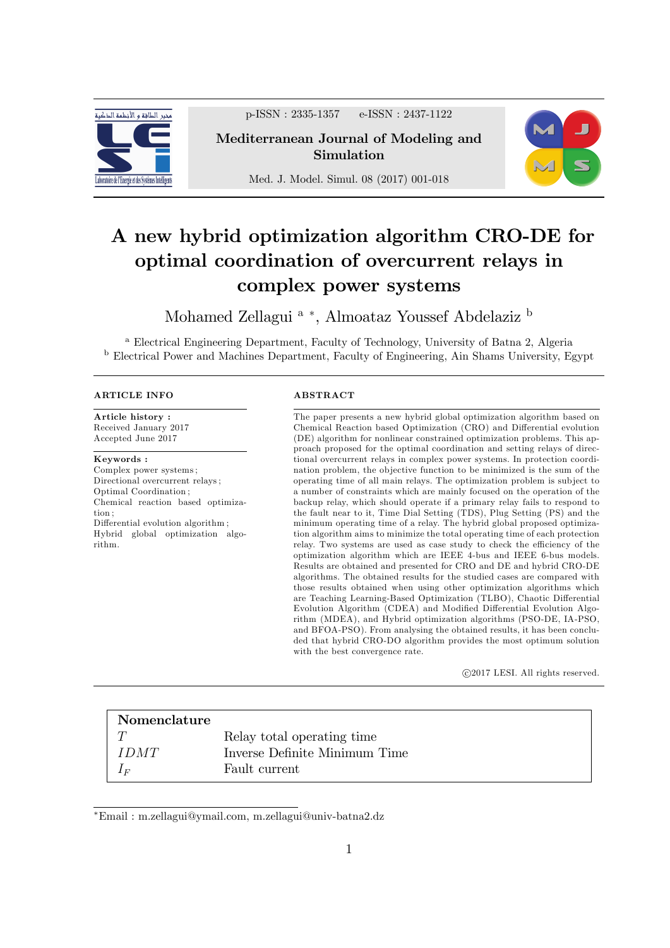

p-ISSN : 2335-1357 e-ISSN : 2437-1122

Mediterranean Journal of Modeling and Simulation

Med. J. Model. Simul. 08 (2017) 001-018



# A new hybrid optimization algorithm CRO-DE for optimal coordination of overcurrent relays in complex power systems

Mohamed Zellagui <sup>a</sup> \*, Almoataz Youssef Abdelaziz <sup>b</sup>

<sup>a</sup> Electrical Engineering Department, Faculty of Technology, University of Batna 2, Algeria <sup>b</sup> Electrical Power and Machines Department, Faculty of Engineering, Ain Shams University, Egypt

#### ARTICLE INFO

Article history : Received January 2017 Accepted June 2017

Keywords : Complex power systems ; Directional overcurrent relays ; Optimal Coordination ; Chemical reaction based optimization ; Differential evolution algorithm; Hybrid global optimization algorithm.

#### ABSTRACT

The paper presents a new hybrid global optimization algorithm based on Chemical Reaction based Optimization (CRO) and Differential evolution (DE) algorithm for nonlinear constrained optimization problems. This approach proposed for the optimal coordination and setting relays of directional overcurrent relays in complex power systems. In protection coordination problem, the objective function to be minimized is the sum of the operating time of all main relays. The optimization problem is sub ject to a number of constraints which are mainly focused on the operation of the backup relay, which should operate if a primary relay fails to respond to the fault near to it, Time Dial Setting (TDS), Plug Setting (PS) and the minimum operating time of a relay. The hybrid global proposed optimization algorithm aims to minimize the total operating time of each protection relay. Two systems are used as case study to check the efficiency of the optimization algorithm which are IEEE 4-bus and IEEE 6-bus models. Results are obtained and presented for CRO and DE and hybrid CRO-DE algorithms. The obtained results for the studied cases are compared with those results obtained when using other optimization algorithms which are Teaching Learning-Based Optimization (TLBO), Chaotic Differential Evolution Algorithm (CDEA) and Modified Differential Evolution Algorithm (MDEA), and Hybrid optimization algorithms (PSO-DE, IA-PSO, and BFOA-PSO). From analysing the obtained results, it has been concluded that hybrid CRO-DO algorithm provides the most optimum solution with the best convergence rate.

c 2017 LESI. All rights reserved.

| Nomenclature |                               |
|--------------|-------------------------------|
|              | Relay total operating time    |
| IDMT         | Inverse Definite Minimum Time |
| l F          | Fault current                 |

Email : m.zellagui@ymail.com, m.zellagui@univ-batna2.dz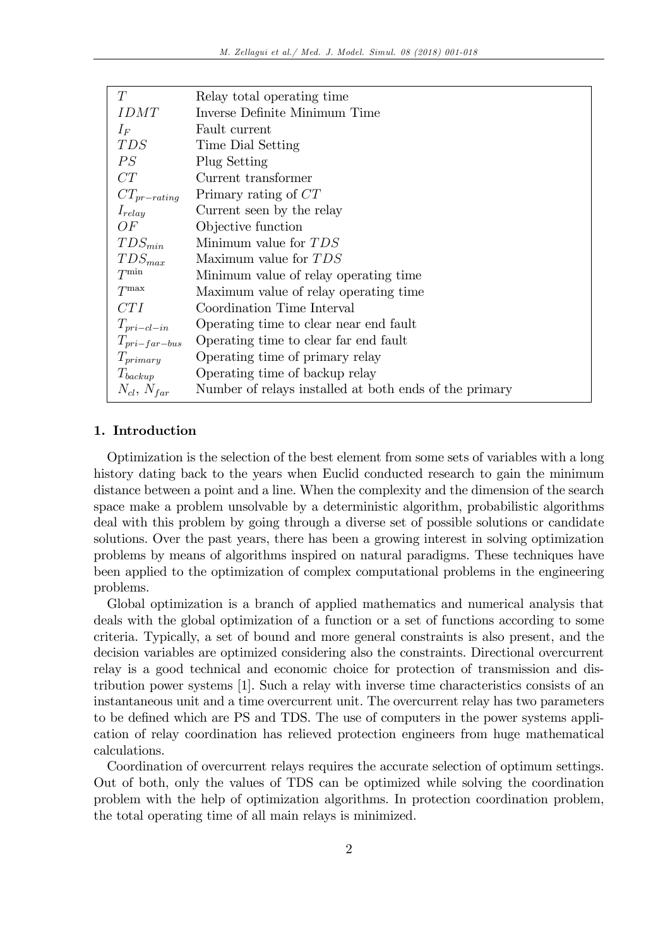| T                    | Relay total operating time                             |
|----------------------|--------------------------------------------------------|
| <i>IDMT</i>          | Inverse Definite Minimum Time                          |
| $I_F$                | Fault current                                          |
| <i>TDS</i>           | Time Dial Setting                                      |
| PS                   | Plug Setting                                           |
| CT                   | Current transformer                                    |
| $CT_{pr-cating}$     | Primary rating of CT                                   |
| $I_{relay}$          | Current seen by the relay                              |
| OF                   | Objective function                                     |
| $TDS_{min}$          | Minimum value for TDS                                  |
| $TDS_{max}$          | Maximum value for TDS                                  |
| $T^{\min}$           | Minimum value of relay operating time                  |
| $T^{\max}$           | Maximum value of relay operating time                  |
| CTI                  | Coordination Time Interval                             |
| $T_{pri-cl-in}$      | Operating time to clear near end fault                 |
| $T_{pri-far-bus}$    | Operating time to clear far end fault                  |
| $T_{primary}$        | Operating time of primary relay                        |
| $T_{\text{backup}}$  | Operating time of backup relay                         |
| $N_{cl}$ , $N_{far}$ | Number of relays installed at both ends of the primary |

# 1. Introduction

Optimization is the selection of the best element from some sets of variables with a long history dating back to the years when Euclid conducted research to gain the minimum distance between a point and a line. When the complexity and the dimension of the search space make a problem unsolvable by a deterministic algorithm, probabilistic algorithms deal with this problem by going through a diverse set of possible solutions or candidate solutions. Over the past years, there has been a growing interest in solving optimization problems by means of algorithms inspired on natural paradigms. These techniques have been applied to the optimization of complex computational problems in the engineering problems.

Global optimization is a branch of applied mathematics and numerical analysis that deals with the global optimization of a function or a set of functions according to some criteria. Typically, a set of bound and more general constraints is also present, and the decision variables are optimized considering also the constraints. Directional overcurrent relay is a good technical and economic choice for protection of transmission and distribution power systems [1]. Such a relay with inverse time characteristics consists of an instantaneous unit and a time overcurrent unit. The overcurrent relay has two parameters to be defined which are PS and TDS. The use of computers in the power systems application of relay coordination has relieved protection engineers from huge mathematical calculations.

Coordination of overcurrent relays requires the accurate selection of optimum settings. Out of both, only the values of TDS can be optimized while solving the coordination problem with the help of optimization algorithms. In protection coordination problem, the total operating time of all main relays is minimized.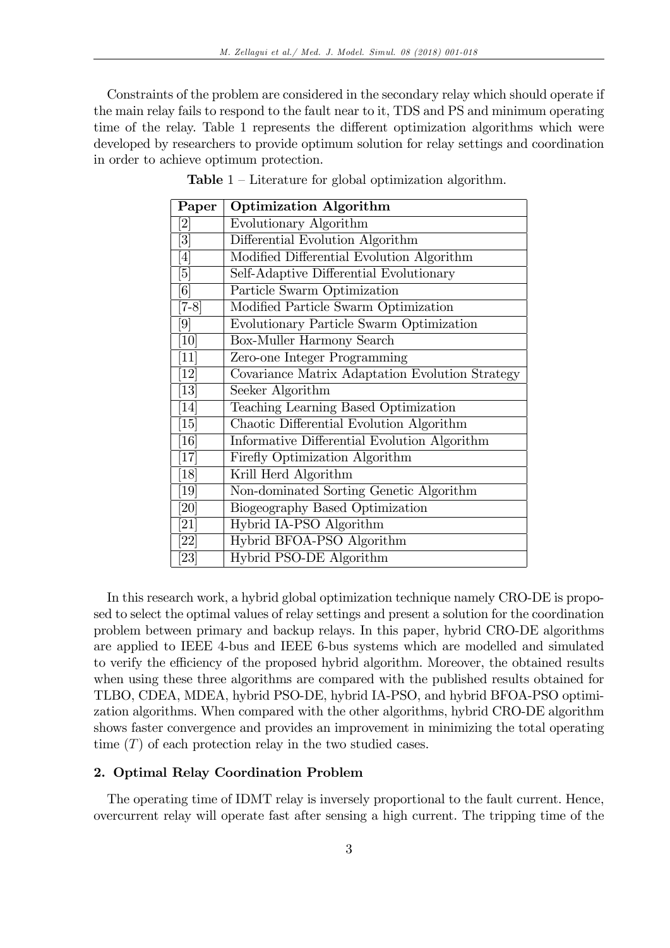Constraints of the problem are considered in the secondary relay which should operate if the main relay fails to respond to the fault near to it, TDS and PS and minimum operating time of the relay. Table 1 represents the different optimization algorithms which were developed by researchers to provide optimum solution for relay settings and coordination in order to achieve optimum protection.

| Paper                        | <b>Optimization Algorithm</b>                   |
|------------------------------|-------------------------------------------------|
| 2]                           | Evolutionary Algorithm                          |
| $\lceil 3 \rceil$            | Differential Evolution Algorithm                |
| $\left[ 4\right]$            | Modified Differential Evolution Algorithm       |
| [5]                          | Self-Adaptive Differential Evolutionary         |
| [6]                          | Particle Swarm Optimization                     |
| $[7-8]$                      | Modified Particle Swarm Optimization            |
| [9]                          | Evolutionary Particle Swarm Optimization        |
| [10]                         | Box-Muller Harmony Search                       |
| [11]                         | Zero-one Integer Programming                    |
| [12]                         | Covariance Matrix Adaptation Evolution Strategy |
| $\left\lceil 13\right\rceil$ | Seeker Algorithm                                |
| [14]                         | Teaching Learning Based Optimization            |
| [15]                         | Chaotic Differential Evolution Algorithm        |
| 16                           | Informative Differential Evolution Algorithm    |
| $\left\lceil 17\right\rceil$ | Firefly Optimization Algorithm                  |
| [18]                         | Krill Herd Algorithm                            |
| [19]                         | Non-dominated Sorting Genetic Algorithm         |
| [20]                         | Biogeography Based Optimization                 |
| [21]                         | Hybrid IA-PSO Algorithm                         |
| [22]                         | Hybrid BFOA-PSO Algorithm                       |
| [23]                         | Hybrid PSO-DE Algorithm                         |

**Table**  $1$  – Literature for global optimization algorithm.

In this research work, a hybrid global optimization technique namely CRO-DE is proposed to select the optimal values of relay settings and present a solution for the coordination problem between primary and backup relays. In this paper, hybrid CRO-DE algorithms are applied to IEEE 4-bus and IEEE 6-bus systems which are modelled and simulated to verify the efficiency of the proposed hybrid algorithm. Moreover, the obtained results when using these three algorithms are compared with the published results obtained for TLBO, CDEA, MDEA, hybrid PSO-DE, hybrid IA-PSO, and hybrid BFOA-PSO optimization algorithms. When compared with the other algorithms, hybrid CRO-DE algorithm shows faster convergence and provides an improvement in minimizing the total operating time  $(T)$  of each protection relay in the two studied cases.

#### 2. Optimal Relay Coordination Problem

The operating time of IDMT relay is inversely proportional to the fault current. Hence, overcurrent relay will operate fast after sensing a high current. The tripping time of the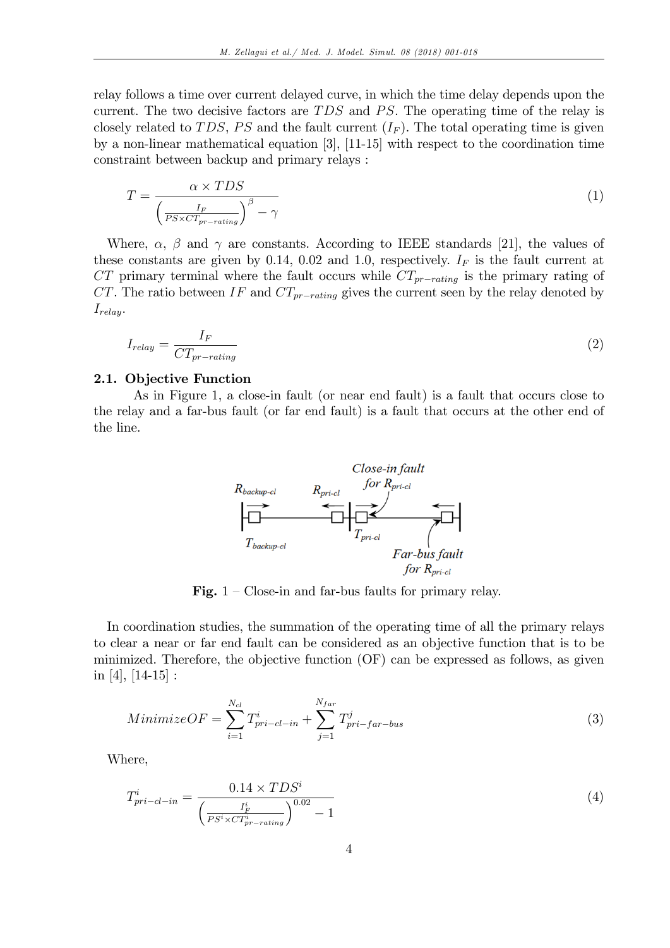relay follows a time over current delayed curve, in which the time delay depends upon the current. The two decisive factors are  $TDS$  and  $PS$ . The operating time of the relay is closely related to TDS, PS and the fault current  $(I_F)$ . The total operating time is given by a non-linear mathematical equation [3], [11-15] with respect to the coordination time constraint between backup and primary relays :

$$
T = \frac{\alpha \times TDS}{\left(\frac{I_F}{PS \times CT_{pr-rating}}\right)^{\beta} - \gamma}
$$
\n(1)

Where,  $\alpha$ ,  $\beta$  and  $\gamma$  are constants. According to IEEE standards [21], the values of these constants are given by 0.14, 0.02 and 1.0, respectively.  $I_F$  is the fault current at  $CT$  primary terminal where the fault occurs while  $CT_{pr-rating}$  is the primary rating of CT. The ratio between  $IF$  and  $CT_{pr-rating}$  gives the current seen by the relay denoted by  $I_{relay}.$ 

$$
I_{relay} = \frac{I_F}{CT_{pr-rating}}\tag{2}
$$

#### 2.1. Objective Function

As in Figure 1, a close-in fault (or near end fault) is a fault that occurs close to the relay and a far-bus fault (or far end fault) is a fault that occurs at the other end of the line.



Fig.  $1 - \text{Close-in and far-bus faults}$  for primary relay.

In coordination studies, the summation of the operating time of all the primary relays to clear a near or far end fault can be considered as an objective function that is to be minimized. Therefore, the objective function (OF) can be expressed as follows, as given in [4],  $[14-15]$ :

$$
Minimize OF = \sum_{i=1}^{N_{cl}} T_{pri-cl-in}^{i} + \sum_{j=1}^{N_{far}} T_{pri-far-bus}^{j}
$$
\n(3)

Where,

$$
T_{pri-cl-in}^{i} = \frac{0.14 \times TDS^{i}}{\left(\frac{I_F^{i}}{PS^{i} \times CT_{pr-rating}^{i}}\right)^{0.02} - 1}
$$
\n(4)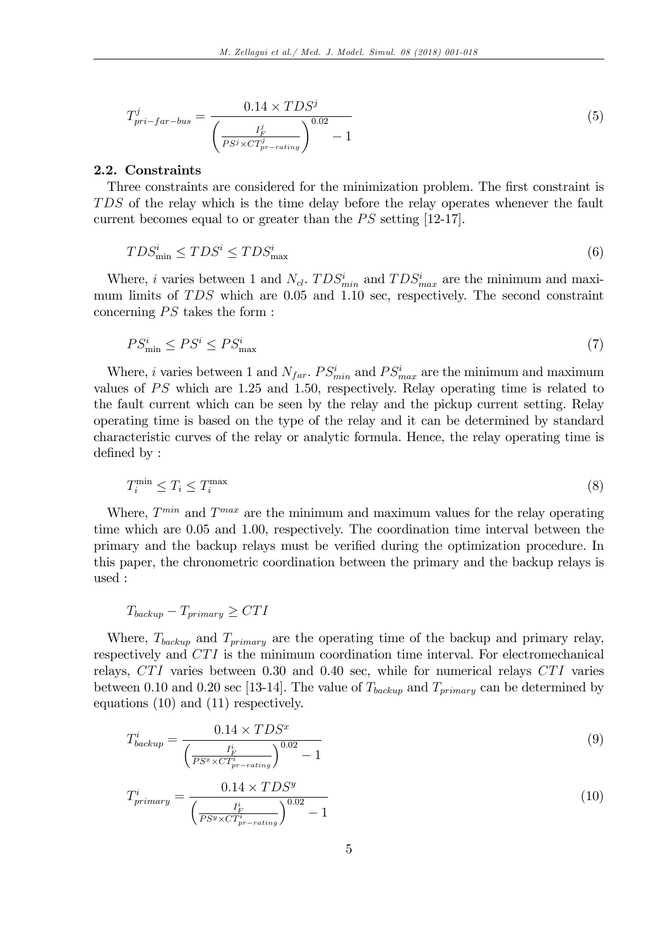$$
T_{pri-far-bus}^{j} = \frac{0.14 \times TDS^{j}}{\left(\frac{I_F^j}{PS^{j} \times CT_{pr-rating}^{j}}\right)^{0.02} - 1}
$$
\n
$$
\tag{5}
$$

#### 2.2. Constraints

Three constraints are considered for the minimization problem. The first constraint is TDS of the relay which is the time delay before the relay operates whenever the fault current becomes equal to or greater than the  $PS$  setting [12-17].

$$
TDS_{\min}^i \leq TDS^i \leq TDS_{\max}^i \tag{6}
$$

Where, *i* varies between 1 and  $N_{cl}$ .  $TDS_{min}^i$  and  $TDS_{max}^i$  are the minimum and maximum limits of  $TDS$  which are 0.05 and 1.10 sec, respectively. The second constraint concerning  $PS$  takes the form :

$$
PS_{\min}^i \le PS^i \le PS_{\max}^i \tag{7}
$$

Where, *i* varies between 1 and  $N_{far}$ .  $PS_{min}^i$  and  $PS_{max}^i$  are the minimum and maximum values of  $PS$  which are 1.25 and 1.50, respectively. Relay operating time is related to the fault current which can be seen by the relay and the pickup current setting. Relay operating time is based on the type of the relay and it can be determined by standard characteristic curves of the relay or analytic formula. Hence, the relay operating time is defined by:

$$
T_i^{\min} \le T_i \le T_i^{\max} \tag{8}
$$

Where,  $T^{min}$  and  $T^{max}$  are the minimum and maximum values for the relay operating time which are 0.05 and 1.00, respectively. The coordination time interval between the primary and the backup relays must be verified during the optimization procedure. In this paper, the chronometric coordination between the primary and the backup relays is used :

$$
T_{\text{backward}} - T_{\text{primary}} \geq CTI
$$

Where,  $T_{\text{backward}}$  and  $T_{\text{primary}}$  are the operating time of the backup and primary relay, respectively and CTI is the minimum coordination time interval. For electromechanical relays,  $CTI$  varies between 0.30 and 0.40 sec, while for numerical relays  $CTI$  varies between 0.10 and 0.20 sec [13-14]. The value of  $T_{\text{backward}}$  and  $T_{\text{primary}}$  can be determined by equations (10) and (11) respectively.

$$
T_{\text{backup}}^i = \frac{0.14 \times TDS^x}{\left(\frac{I_F^i}{PS^x \times CT_{\text{pr-rating}}^i}\right)^{0.02} - 1} \tag{9}
$$

$$
T_{primary}^{i} = \frac{0.14 \times TDS^{y}}{\left(\frac{I_{F}^{i}}{PS^{y} \times CT_{pr-rating}^{i}}\right)^{0.02} - 1}
$$
\n(10)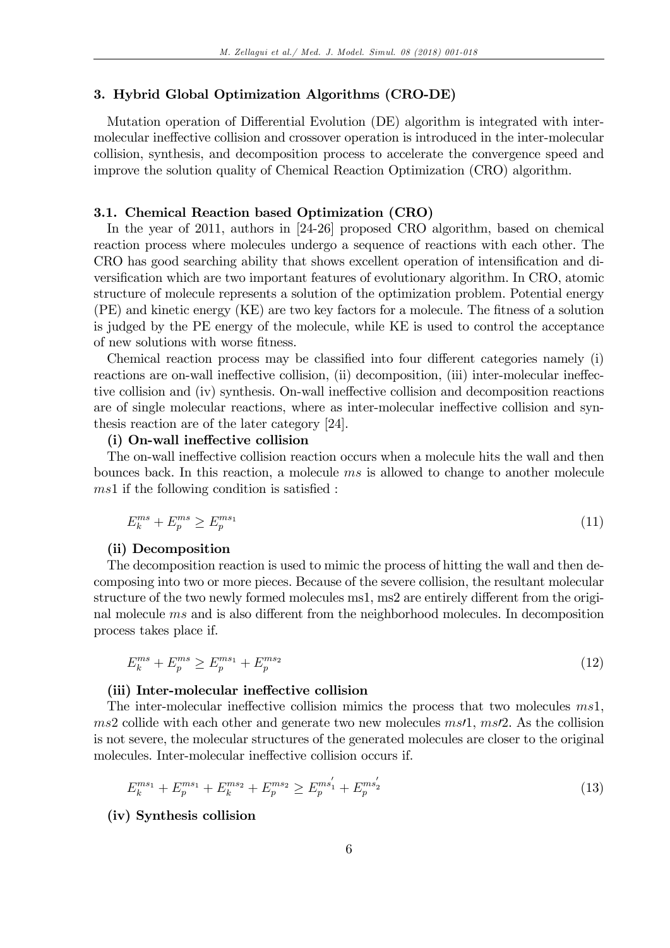#### 3. Hybrid Global Optimization Algorithms (CRO-DE)

Mutation operation of Differential Evolution (DE) algorithm is integrated with intermolecular ineffective collision and crossover operation is introduced in the inter-molecular collision, synthesis, and decomposition process to accelerate the convergence speed and improve the solution quality of Chemical Reaction Optimization (CRO) algorithm.

#### 3.1. Chemical Reaction based Optimization (CRO)

In the year of 2011, authors in [24-26] proposed CRO algorithm, based on chemical reaction process where molecules undergo a sequence of reactions with each other. The CRO has good searching ability that shows excellent operation of intensification and diversification which are two important features of evolutionary algorithm. In CRO, atomic structure of molecule represents a solution of the optimization problem. Potential energy  $(PE)$  and kinetic energy  $(KE)$  are two key factors for a molecule. The fitness of a solution is judged by the PE energy of the molecule, while KE is used to control the acceptance of new solutions with worse fitness.

Chemical reaction process may be classified into four different categories namely  $(i)$ reactions are on-wall ineffective collision, (ii) decomposition, (iii) inter-molecular ineffective collision and (iv) synthesis. On-wall ineffective collision and decomposition reactions are of single molecular reactions, where as inter-molecular ineffective collision and synthesis reaction are of the later category [24].

# (i) On-wall ineffective collision

The on-wall ineffective collision reaction occurs when a molecule hits the wall and then bounces back. In this reaction, a molecule ms is allowed to change to another molecule  $ms1$  if the following condition is satisfied :

$$
E_k^{ms} + E_p^{ms} \ge E_p^{ms_1} \tag{11}
$$

# (ii) Decomposition

The decomposition reaction is used to mimic the process of hitting the wall and then decomposing into two or more pieces. Because of the severe collision, the resultant molecular structure of the two newly formed molecules ms1, ms2 are entirely different from the original molecule  $ms$  and is also different from the neighborhood molecules. In decomposition process takes place if.

$$
E_k^{ms} + E_p^{ms} \ge E_p^{ms_1} + E_p^{ms_2}
$$
\n(12)

## (iii) Inter-molecular ineffective collision

The inter-molecular ineffective collision mimics the process that two molecules  $ms1$ ,  $ms2$  collide with each other and generate two new molecules  $ms1, ms2$ . As the collision is not severe, the molecular structures of the generated molecules are closer to the original molecules. Inter-molecular ineffective collision occurs if.

$$
E_k^{ms_1} + E_p^{ms_1} + E_k^{ms_2} + E_p^{ms_2} \ge E_p^{ms_1'} + E_p^{ms_2'} \tag{13}
$$

#### (iv) Synthesis collision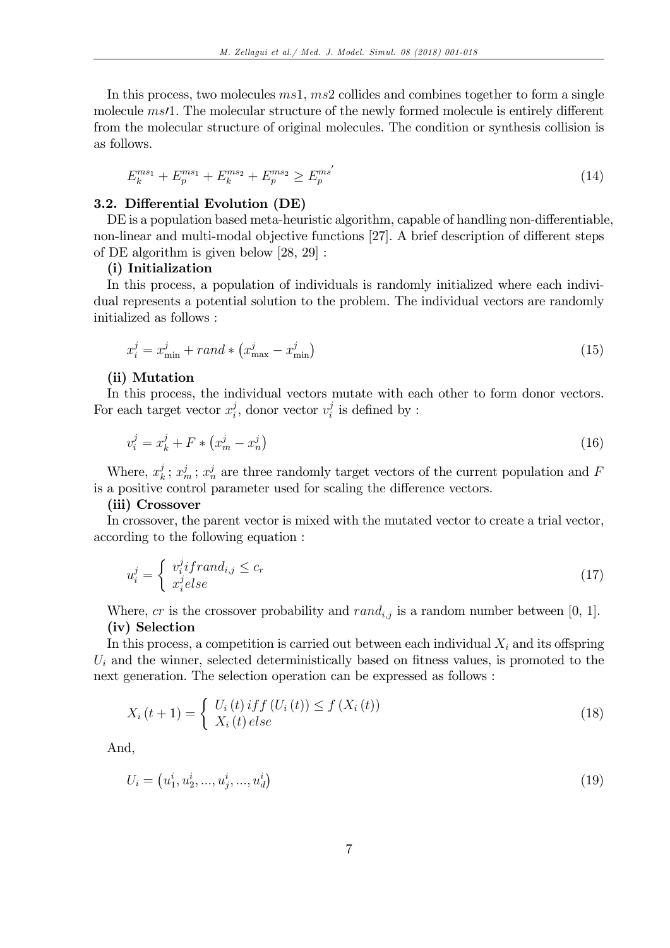In this process, two molecules  $ms1, ms2$  collides and combines together to form a single molecule  $ms/1$ . The molecular structure of the newly formed molecule is entirely different from the molecular structure of original molecules. The condition or synthesis collision is as follows.

$$
E_k^{ms_1} + E_p^{ms_1} + E_k^{ms_2} + E_p^{ms_2} \ge E_p^{ms'} \tag{14}
$$

# 3.2. Differential Evolution (DE)

DE is a population based meta-heuristic algorithm, capable of handling non-differentiable, non-linear and multi-modal objective functions [27]. A brief description of different steps of DE algorithm is given below [28, 29] :

#### (i) Initialization

In this process, a population of individuals is randomly initialized where each individual represents a potential solution to the problem. The individual vectors are randomly initialized as follows :

$$
x_i^j = x_{\min}^j + rand * \left(x_{\max}^j - x_{\min}^j\right) \tag{15}
$$

#### (ii) Mutation

In this process, the individual vectors mutate with each other to form donor vectors. For each target vector  $x_i^j$  $i$ , donor vector  $v_i^j$  $b_i^j$  is defined by :

$$
v_i^j = x_k^j + F * (x_m^j - x_n^j)
$$
\n(16)

Where,  $x_k^j$  $x_k^j$ ;  $x_m^j$ ;  $x_n^j$  are three randomly target vectors of the current population and F is a positive control parameter used for scaling the difference vectors.

#### (iii) Crossover

In crossover, the parent vector is mixed with the mutated vector to create a trial vector, according to the following equation :

$$
u_i^j = \begin{cases} v_i^j if rand_{i,j} \le c_r \\ x_i^j else \end{cases} \tag{17}
$$

Where, cr is the crossover probability and  $rand_{i,j}$  is a random number between [0, 1]. (iv) Selection

In this process, a competition is carried out between each individual  $X_i$  and its offspring  $U_i$  and the winner, selected deterministically based on fitness values, is promoted to the next generation. The selection operation can be expressed as follows :

$$
X_i(t+1) = \begin{cases} U_i(t) \, if \, f(U_i(t)) \le f(X_i(t)) \\ X_i(t) \, else \end{cases} \tag{18}
$$

And,

$$
U_i = (u_1^i, u_2^i, \dots, u_j^i, \dots, u_d^i) \tag{19}
$$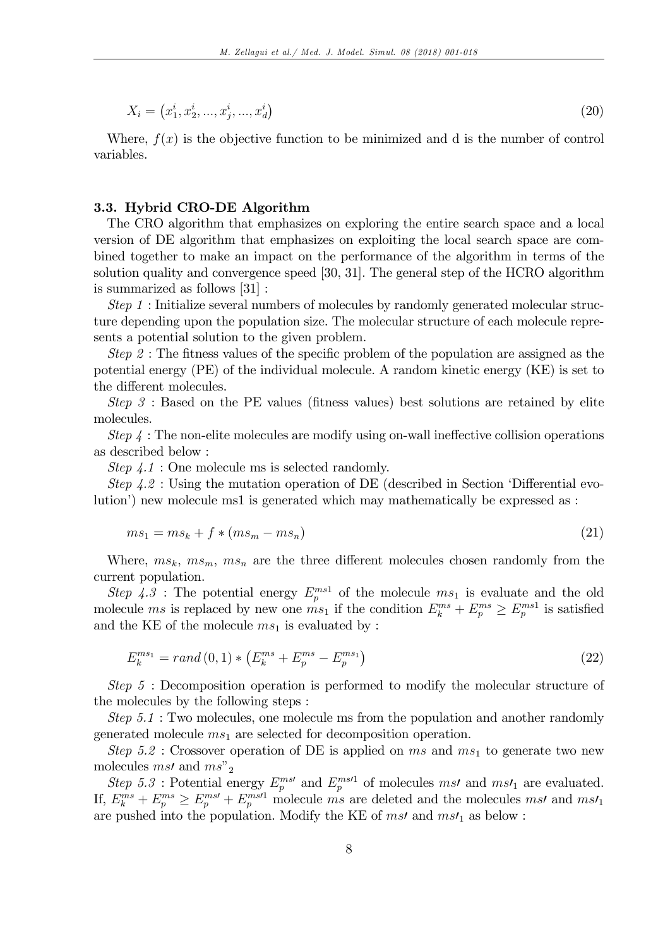$$
X_i = (x_1^i, x_2^i, \dots, x_j^i, \dots, x_d^i) \tag{20}
$$

Where,  $f(x)$  is the objective function to be minimized and d is the number of control variables.

#### 3.3. Hybrid CRO-DE Algorithm

The CRO algorithm that emphasizes on exploring the entire search space and a local version of DE algorithm that emphasizes on exploiting the local search space are combined together to make an impact on the performance of the algorithm in terms of the solution quality and convergence speed [30, 31]. The general step of the HCRO algorithm is summarized as follows [31] :

Step 1 : Initialize several numbers of molecules by randomly generated molecular structure depending upon the population size. The molecular structure of each molecule represents a potential solution to the given problem.

Step 2 : The fitness values of the specific problem of the population are assigned as the potential energy (PE) of the individual molecule. A random kinetic energy (KE) is set to the different molecules.

Step  $3$ : Based on the PE values (fitness values) best solutions are retained by elite molecules.

Step  $\mu$ : The non-elite molecules are modify using on-wall ineffective collision operations as described below :

Step  $\lambda \cdot 1$ : One molecule ms is selected randomly.

Step  $4.2$ : Using the mutation operation of DE (described in Section 'Differential evolution<sup>'</sup>) new molecule ms1 is generated which may mathematically be expressed as :

$$
ms_1 = ms_k + f * (ms_m - ms_n) \tag{21}
$$

Where,  $ms_k$ ,  $ms_m$ ,  $ms_n$  are the three different molecules chosen randomly from the current population.

Step 4.3: The potential energy  $E_p^{ms1}$  of the molecule  $ms_1$  is evaluate and the old molecule ms is replaced by new one  $ms_1$  if the condition  $E_k^{ms} + E_p^{ms} \ge E_p^{ms1}$  is satisfied and the KE of the molecule  $ms_1$  is evaluated by :

$$
E_k^{ms_1} = rand(0,1) * (E_k^{ms} + E_p^{ms} - E_p^{ms_1})
$$
\n(22)

Step 5 : Decomposition operation is performed to modify the molecular structure of the molecules by the following steps :

Step 5.1 : Two molecules, one molecule ms from the population and another randomly generated molecule  $ms_1$  are selected for decomposition operation.

Step 5.2 : Crossover operation of DE is applied on ms and  $ms<sub>1</sub>$  to generate two new molecules *ms'* and  $ms^{\prime\prime}$ <sub>2</sub>

Step 5.3 : Potential energy  $E_p^{ms'}$  and  $E_p^{ms'1}$  of molecules msl and msl<sub>1</sub> are evaluated. If,  $E_k^{ms} + E_p^{ms} \ge E_p^{ms'} + E_p^{ms'1}$  molecule ms are deleted and the molecules ms/ and ms/ are pushed into the population. Modify the KE of  $ms$  and  $ms'$ <sub>1</sub> as below :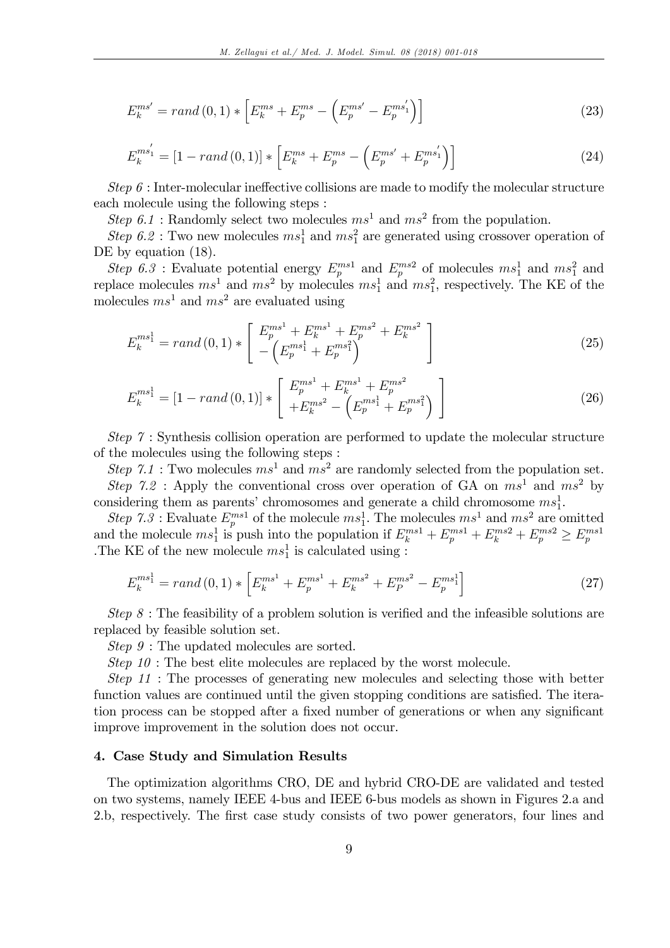$$
E_k^{ms'} = rand(0,1) * \left[E_k^{ms} + E_p^{ms} - \left(E_p^{ms'} - E_p^{ms'}\right)\right]
$$
\n(23)

$$
E_{k}^{ms_{1}'} = [1 - rand(0, 1)] * [E_{k}^{ms} + E_{p}^{ms} - (E_{p}^{ms'} + E_{p}^{ms_{1}'})] \qquad (24)
$$

Step  $\delta$ : Inter-molecular ineffective collisions are made to modify the molecular structure each molecule using the following steps :

Step 6.1 : Randomly select two molecules  $ms<sup>1</sup>$  and  $ms<sup>2</sup>$  from the population.

Step 6.2 : Two new molecules  $ms_1^1$  and  $ms_1^2$  are generated using crossover operation of DE by equation  $(18)$ .

Step 6.3 : Evaluate potential energy  $E_p^{ms1}$  and  $E_p^{ms2}$  of molecules  $ms_1^1$  and  $ms_1^2$  and replace molecules  $ms^1$  and  $ms^2$  by molecules  $ms_1^1$  and  $ms_1^2$ , respectively. The KE of the molecules  $ms<sup>1</sup>$  and  $ms<sup>2</sup>$  are evaluated using

$$
E_k^{ms_1^1} = rand(0,1) * \left[ \begin{array}{c} E_p^{ms_1^1} + E_k^{ms_1^1} + E_p^{ms_1^2} + E_k^{ms_1^2} \\ - \left( E_p^{ms_1^1} + E_p^{ms_1^2} \right) \end{array} \right] \tag{25}
$$

$$
E_k^{ms_1^1} = \left[1 - rand\left(0, 1\right)\right] * \begin{bmatrix} E_p^{ms_1^1} + E_k^{ms_1^1} + E_p^{ms_1^2} \\ + E_k^{ms_1^2} - \left(E_p^{ms_1^1} + E_p^{ms_1^2}\right) \end{bmatrix}
$$
\n
$$
(26)
$$

Step 7 : Synthesis collision operation are performed to update the molecular structure of the molecules using the following steps :

Step 7.1 : Two molecules  $ms<sup>1</sup>$  and  $ms<sup>2</sup>$  are randomly selected from the population set. Step 7.2 : Apply the conventional cross over operation of GA on  $ms^1$  and  $ms^2$  by considering them as parents' chromosomes and generate a child chromosome  $ms_1^1$ . 1

Step 7.3: Evaluate  $E_p^{ms1}$  of the molecule  $ms_1^1$ . The molecules  $ms_1^1$  and  $ms_1^2$  are omitted and the molecule  $ms_1^1$  is push into the population if  $E_k^{ms1} + E_p^{ms1} + E_k^{ms2} + E_p^{ms2} \ge E_p^{ms1}$ The KE of the new molecule  $ms_1^1$  is calculated using :

$$
E_k^{ms_1^1} = rand(0,1) * \left[E_k^{ms_1^1} + E_p^{ms_1^1} + E_k^{ms_2^2} + E_p^{ms_2^2} - E_p^{ms_1^1}\right]
$$
\n(27)

Step  $8:$  The feasibility of a problem solution is verified and the infeasible solutions are replaced by feasible solution set.

Step  $9$ : The updated molecules are sorted.

Step 10 : The best elite molecules are replaced by the worst molecule.

Step 11 : The processes of generating new molecules and selecting those with better function values are continued until the given stopping conditions are satisfied. The iteration process can be stopped after a fixed number of generations or when any significant improve improvement in the solution does not occur.

# 4. Case Study and Simulation Results

The optimization algorithms CRO, DE and hybrid CRO-DE are validated and tested on two systems, namely IEEE 4-bus and IEEE 6-bus models as shown in Figures 2.a and 2.b, respectively. The first case study consists of two power generators, four lines and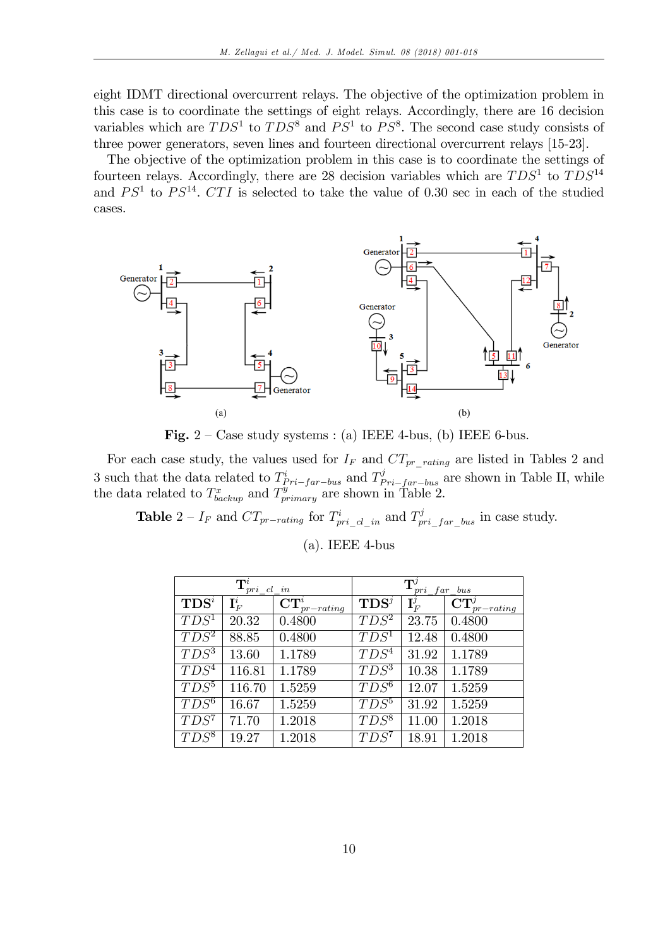eight IDMT directional overcurrent relays. The objective of the optimization problem in this case is to coordinate the settings of eight relays. Accordingly, there are 16 decision variables which are  $TDS<sup>1</sup>$  to  $TDS<sup>8</sup>$  and  $PS<sup>1</sup>$  to  $PS<sup>8</sup>$ . The second case study consists of three power generators, seven lines and fourteen directional overcurrent relays [15-23].

The objective of the optimization problem in this case is to coordinate the settings of fourteen relays. Accordingly, there are 28 decision variables which are  $TDS<sup>1</sup>$  to  $TDS<sup>14</sup>$ and  $PS<sup>1</sup>$  to  $PS<sup>14</sup>$ . CTI is selected to take the value of 0.30 sec in each of the studied cases.



Fig.  $2 - Case$  study systems : (a) IEEE 4-bus, (b) IEEE 6-bus.

For each case study, the values used for  $I_F$  and  $CT_{pr\_rating}$  are listed in Tables 2 and 3 such that the data related to  $T_{pri-far-bus}^i$  and  $T_{pri-far-bus}^j$  are shown in Table II, while the data related to  $T_{\text{backward}}^x$  and  $T_{\text{primary}}^y$  are shown in Table 2.

**Table**  $2 - I_F$  and  $CT_{pr-rating}$  for  $T_{pri\_cl\_in}^i$  and  $T_{pri\_far\_bus}^j$  in case study.

| $\mathbf{T}^i_{pri}$ cl in |                  |                                                  | $\mathbf{T}^{\jmath}$<br>pri far bus |                         |                         |
|----------------------------|------------------|--------------------------------------------------|--------------------------------------|-------------------------|-------------------------|
| $\mathbf{TDS}^i$           | $\mathbf{I}_F^i$ | $\overline{\mathbf{CT}}_{\mathit{pr\_rating}}^i$ | $\mathbf{TDS}^j$                     | $\mathbf{I}^{\jmath}_F$ | $CT_x^j$<br>$pr-rating$ |
| $\overline{TDS^1}$         | 20.32            | 0.4800                                           | $TDS^2$                              | 23.75                   | 0.4800                  |
| $TDS^2$                    | 88.85            | 0.4800                                           | $TDS^{\overline{1}}$                 | 12.48                   | 0.4800                  |
| $T\overline{DS^3}$         | 13.60            | 1.1789                                           | $TD\overline{S^4}$                   | 31.92                   | 1.1789                  |
| $TDS^4$                    | 116.81           | 1.1789                                           | $TDS^3$                              | 10.38                   | 1.1789                  |
| $TD\overline{S^5}$         | 116.70           | 1.5259                                           | $TDS^6$                              | 12.07                   | 1.5259                  |
| $TDS^6$                    | 16.67            | 1.5259                                           | $TDS^5$                              | 31.92                   | 1.5259                  |
| $TDS^7$                    | 71.70            | 1.2018                                           | $TDS^8$                              | 11.00                   | 1.2018                  |
| $TDS^8$                    | 19.27            | 1.2018                                           | $TDS^7$                              | 18.91                   | 1.2018                  |

 $(a)$ . IEEE 4-bus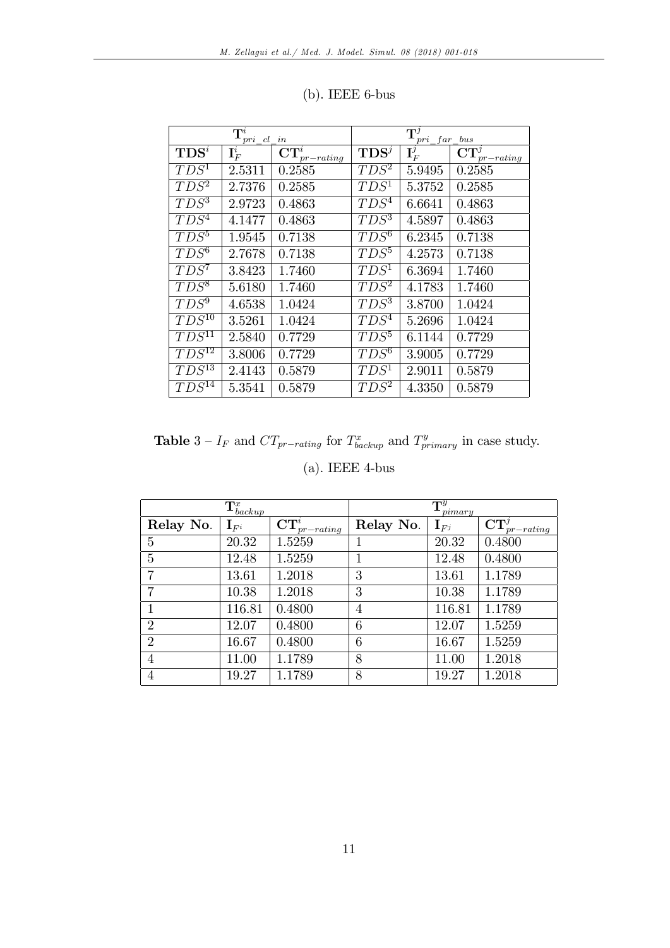|                       | $\overline{\mathbf{T}}_{pri\_cl\_in}^i$ |                                        |                    | $\overline{\mathrm{T}^j_{pri\_far\_bus}}$ |                                               |  |
|-----------------------|-----------------------------------------|----------------------------------------|--------------------|-------------------------------------------|-----------------------------------------------|--|
| $TDS^i$               | $\mathbf{I}_F^i$                        | $\overline{\mathbf{CT}}_{pr-rating}^i$ | $\mathbf{TDS}^j$   | $\mathbf{I}_F^j$                          | $\overline{\text{CT}^j_{\textit{pr-rating}}}$ |  |
| $T\overline{DS^1}$    | 2.5311                                  | 0.2585                                 | $T\overline{DS^2}$ | 5.9495                                    | 0.2585                                        |  |
| $TDS^2$               | 2.7376                                  | 0.2585                                 | $TDS^1$            | 5.3752                                    | 0.2585                                        |  |
| $TDS^3$               | 2.9723                                  | 0.4863                                 | $TDS^4$            | 6.6641                                    | 0.4863                                        |  |
| $TDS^4$               | 4.1477                                  | 0.4863                                 | $TDS^3$            | 4.5897                                    | 0.4863                                        |  |
| $T\overline{DS^5}$    | 1.9545                                  | 0.7138                                 | $\overline{TDS^6}$ | 6.2345                                    | 0.7138                                        |  |
| $TDS^6$               | 2.7678                                  | 0.7138                                 | $TDS^5$            | 4.2573                                    | 0.7138                                        |  |
| $TDS^7$               | 3.8423                                  | 1.7460                                 | $TD\overline{S^1}$ | 6.3694                                    | 1.7460                                        |  |
| $TDS^8$               | 5.6180                                  | 1.7460                                 | $TDS^2$            | 4.1783                                    | 1.7460                                        |  |
| $TD\overline{S^9}$    | 4.6538                                  | 1.0424                                 | $TDS^3$            | 3.8700                                    | 1.0424                                        |  |
| $TDS^{10}$            | 3.5261                                  | 1.0424                                 | $TDS^4$            | 5.2696                                    | 1.0424                                        |  |
| $TDS^{11}$            | 2.5840                                  | 0.7729                                 | $TDS^5$            | 6.1144                                    | 0.7729                                        |  |
| $TD\overline{S^{12}}$ | 3.8006                                  | 0.7729                                 | $TDS^6$            | 3.9005                                    | 0.7729                                        |  |
| $TDS^{13}$            | 2.4143                                  | 0.5879                                 | $TDS^1$            | 2.9011                                    | 0.5879                                        |  |
| $TDS^{14}$            | 5.3541                                  | 0.5879                                 | $TDS^2$            | 4.3350                                    | 0.5879                                        |  |

| $(b)$ . IEEE 6-bus |  |
|--------------------|--|
|--------------------|--|

**Table**  $3 - I_F$  and  $CT_{pr-rating}$  for  $T_{background}^x$  and  $T_{primary}^y$  in case study. (a). IEEE 4-bus

| $\mathbf{T}^x_{\textit{backup}}$ |                    |                                              | $\mathbf{T}^y$<br>pimary |                   |                                         |
|----------------------------------|--------------------|----------------------------------------------|--------------------------|-------------------|-----------------------------------------|
| Relay No.                        | $\mathbf{I}_{F^i}$ | $\widehat{\text{CT}}_{\frac{pr-rating}{}}^i$ | Relay No.                | $\mathbf{I}_{Fi}$ | $\mathbf{CT}^{\jmath}_-$<br>$pr-rating$ |
| 5                                | 20.32              | 1.5259                                       | 1                        | 20.32             | 0.4800                                  |
| 5                                | 12.48              | 1.5259                                       |                          | 12.48             | 0.4800                                  |
| 7                                | 13.61              | 1.2018                                       | 3                        | 13.61             | 1.1789                                  |
| 7                                | 10.38              | 1.2018                                       | 3                        | 10.38             | 1.1789                                  |
|                                  | 116.81             | 0.4800                                       | 4                        | 116.81            | 1.1789                                  |
| $\overline{2}$                   | 12.07              | 0.4800                                       | 6                        | 12.07             | 1.5259                                  |
| $\overline{2}$                   | 16.67              | 0.4800                                       | 6                        | 16.67             | 1.5259                                  |
| 4                                | 11.00              | 1.1789                                       | 8                        | 11.00             | 1.2018                                  |
| 4                                | 19.27              | 1.1789                                       | 8                        | 19.27             | 1.2018                                  |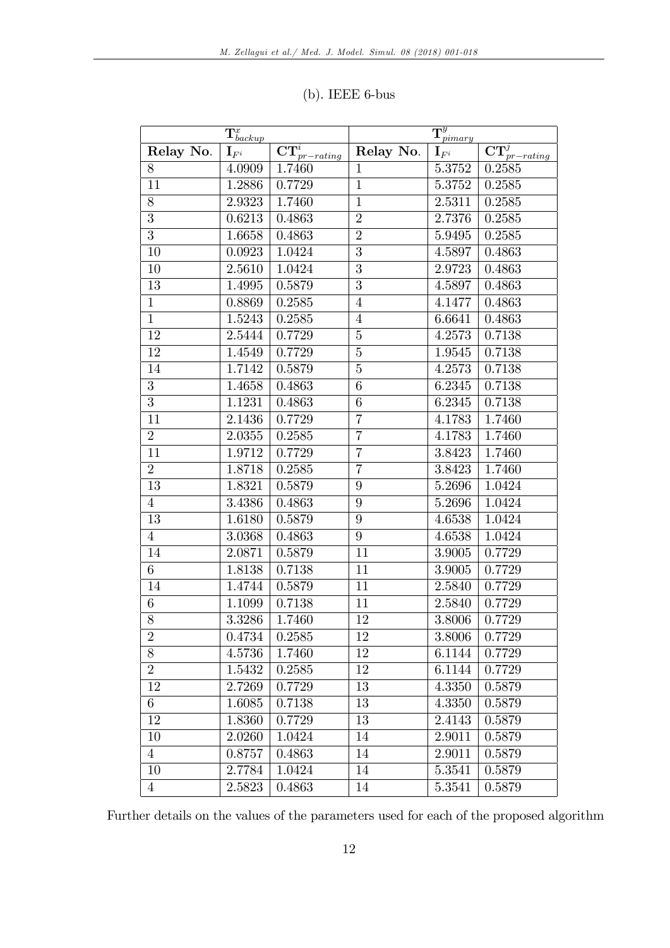| $\mathbf{T}^x_{\textit{backup}}$ |                     |                             | $\overline{\mathbf{T}^y_{pimary}}$ |                    |                             |
|----------------------------------|---------------------|-----------------------------|------------------------------------|--------------------|-----------------------------|
| Relay No.                        | $\mathbf{I}_{F^i}$  | $\mathbf{CT}^i_{pr-rating}$ | Relay No.                          | $\mathbf{I}_{F^i}$ | $\mathbf{CT}^j_{pr-rating}$ |
| 8                                | 4.0909              | 1.7460                      | $\mathbf{1}$                       | 5.3752             | 0.2585                      |
| 11                               | 1.2886              | 0.7729                      | $\overline{1}$                     | 5.3752             | 0.2585                      |
| 8                                | 2.9323              | 1.7460                      | $\mathbf{1}$                       | 2.5311             | 0.2585                      |
| $\overline{3}$                   | 0.6213              | 0.4863                      | $\overline{2}$                     | 2.7376             | 0.2585                      |
| $\overline{3}$                   | 1.6658              | 0.4863                      | $\overline{2}$                     | 5.9495             | 0.2585                      |
| $\overline{10}$                  | 0.0923              | 1.0424                      | $\overline{3}$                     | 4.5897             | 0.4863                      |
| 10                               | 2.5610              | 1.0424                      | $\overline{3}$                     | 2.9723             | 0.4863                      |
| 13                               | $\overline{1}.4995$ | 0.5879                      | $\overline{3}$                     | 4.5897             | 0.4863                      |
| $\mathbf{1}$                     | 0.8869              | 0.2585                      | $\overline{4}$                     | 4.1477             | 0.4863                      |
| $\mathbf{1}$                     | 1.5243              | 0.2585                      | $\overline{4}$                     | 6.6641             | 0.4863                      |
| 12                               | 2.5444              | 0.7729                      | $\overline{5}$                     | 4.2573             | 0.7138                      |
| 12                               | 1.4549              | 0.7729                      | $\overline{5}$                     | 1.9545             | 0.7138                      |
| 14                               | 1.7142              | 0.5879                      | $\overline{5}$                     | 4.2573             | 0.7138                      |
| $\overline{3}$                   | 1.4658              | 0.4863                      | 6                                  | 6.2345             | 0.7138                      |
| $\overline{3}$                   | 1.1231              | 0.4863                      | 6                                  | 6.2345             | 0.7138                      |
| $\overline{11}$                  | 2.1436              | 0.7729                      | $\overline{7}$                     | 4.1783             | 1.7460                      |
| $\overline{2}$                   | 2.0355              | 0.2585                      | $\overline{7}$                     | 4.1783             | 1.7460                      |
| 11                               | 1.9712              | 0.7729                      | $\overline{7}$                     | 3.8423             | 1.7460                      |
| $\overline{2}$                   | 1.8718              | 0.2585                      | $\overline{7}$                     | 3.8423             | 1.7460                      |
| 13                               | 1.8321              | 0.5879                      | 9                                  | 5.2696             | 1.0424                      |
| $\overline{4}$                   | 3.4386              | 0.4863                      | $\overline{9}$                     | 5.2696             | 1.0424                      |
| 13                               | 1.6180              | 0.5879                      | 9                                  | 4.6538             | 1.0424                      |
| $\overline{4}$                   | 3.0368              | 0.4863                      | 9                                  | 4.6538             | 1.0424                      |
| 14                               | 2.0871              | 0.5879                      | 11                                 | 3.9005             | 0.7729                      |
| $\overline{6}$                   | 1.8138              | 0.7138                      | 11                                 | 3.9005             | 0.7729                      |
| $\overline{14}$                  | 1.4744              | 0.5879                      | $\overline{11}$                    | 2.5840             | 0.7729                      |
| $\overline{6}$                   | 1.1099              | 0.7138                      | 11                                 | 2.5840             | 0.7729                      |
| $\overline{8}$                   | 3.3286              | 1.7460                      | 12                                 | 3.8006             | 0.7729                      |
| $\overline{2}$                   | 0.4734              | 0.2585                      | $\overline{12}$                    | 3.8006             | 0.7729                      |
| 8                                | 4.5736              | 1.7460                      | 12                                 | 6.1144             | 0.7729                      |
| $\overline{2}$                   | 1.5432              | 0.2585                      | 12                                 | 6.1144             | 0.7729                      |
| 12                               | 2.7269              | 0.7729                      | 13                                 | 4.3350             | 0.5879                      |
| 6                                | 1.6085              | 0.7138                      | 13                                 | 4.3350             | 0.5879                      |
| 12                               | 1.8360              | 0.7729                      | 13                                 | 2.4143             | 0.5879                      |
| 10                               | 2.0260              | 1.0424                      | 14                                 | 2.9011             | 0.5879                      |
| $\overline{4}$                   | 0.8757              | 0.4863                      | 14                                 | 2.9011             | 0.5879                      |
| 10                               | 2.7784              | 1.0424                      | 14                                 | 5.3541             | 0.5879                      |
| $\overline{4}$                   | 2.5823              | 0.4863                      | 14                                 | 5.3541             | 0.5879                      |

# (b). IEEE 6-bus

Further details on the values of the parameters used for each of the proposed algorithm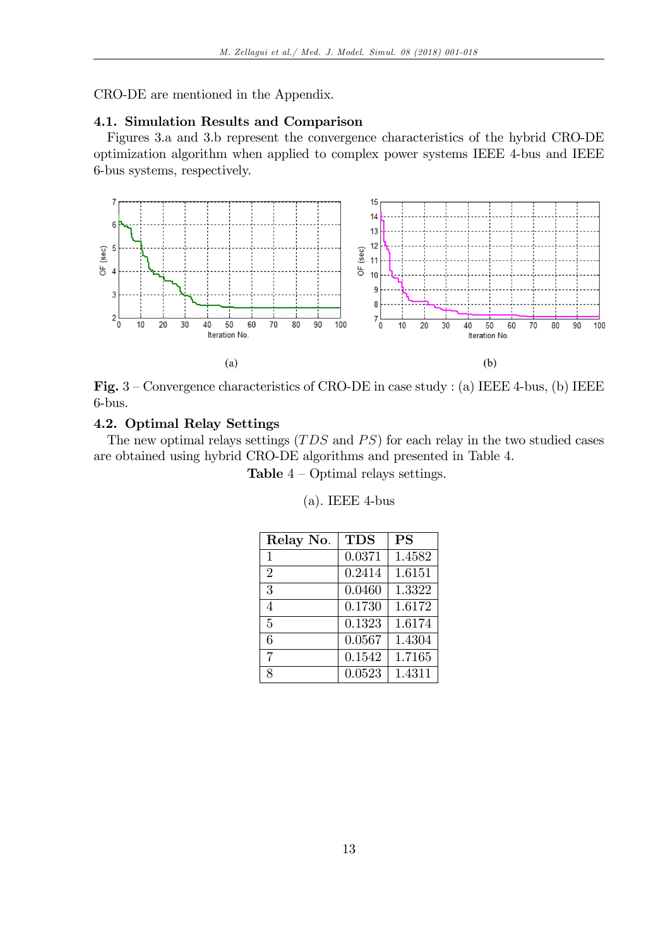CRO-DE are mentioned in the Appendix.

# 4.1. Simulation Results and Comparison

Figures 3.a and 3.b represent the convergence characteristics of the hybrid CRO-DE optimization algorithm when applied to complex power systems IEEE 4-bus and IEEE 6-bus systems, respectively.



Fig.  $3$  – Convergence characteristics of CRO-DE in case study : (a) IEEE 4-bus, (b) IEEE 6-bus.

# 4.2. Optimal Relay Settings

The new optimal relays settings  $(TDS$  and  $PS)$  for each relay in the two studied cases are obtained using hybrid CRO-DE algorithms and presented in Table 4.

**Table**  $4$  – Optimal relays settings.

| Relay No.      | <b>TDS</b> | <b>PS</b> |
|----------------|------------|-----------|
| $\mathbf{1}$   | 0.0371     | 1.4582    |
| $\overline{2}$ | 0.2414     | 1.6151    |
| 3              | 0.0460     | 1.3322    |
| 4              | 0.1730     | 1.6172    |
| 5              | 0.1323     | 1.6174    |
| 6              | 0.0567     | 1.4304    |
| 7              | 0.1542     | 1.7165    |
| 8              | 0.0523     | 1.4311    |

(a). IEEE 4-bus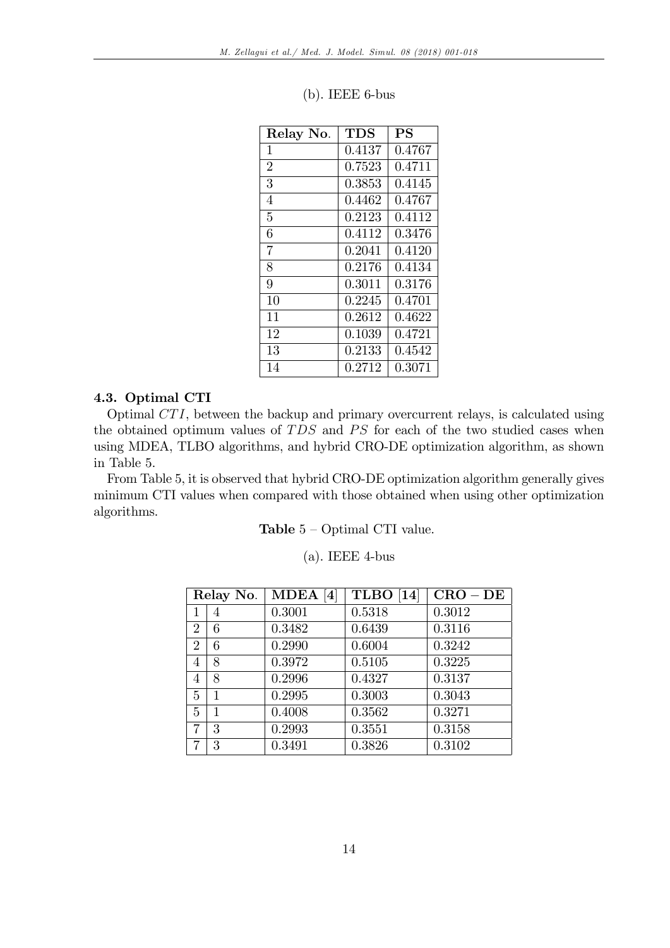| Relay No.      | <b>TDS</b> | <b>PS</b> |
|----------------|------------|-----------|
| $\mathbf 1$    | 0.4137     | 0.4767    |
| $\overline{2}$ | 0.7523     | 0.4711    |
| 3              | 0.3853     | 0.4145    |
| 4              | 0.4462     | 0.4767    |
| 5              | 0.2123     | 0.4112    |
| 6              | 0.4112     | 0.3476    |
| $\overline{7}$ | 0.2041     | 0.4120    |
| 8              | 0.2176     | 0.4134    |
| 9              | 0.3011     | 0.3176    |
| 10             | 0.2245     | 0.4701    |
| 11             | 0.2612     | 0.4622    |
| 12             | 0.1039     | 0.4721    |
| 13             | 0.2133     | 0.4542    |
| 14             | 0.2712     | 0.3071    |

#### (b). IEEE 6-bus

#### 4.3. Optimal CTI

Optimal CT I, between the backup and primary overcurrent relays, is calculated using the obtained optimum values of  $TDS$  and  $PS$  for each of the two studied cases when using MDEA, TLBO algorithms, and hybrid CRO-DE optimization algorithm, as shown in Table 5.

From Table 5, it is observed that hybrid CRO-DE optimization algorithm generally gives minimum CTI values when compared with those obtained when using other optimization algorithms.

Table  $5 - Optimal$  CTI value.

| 21. I | <b>IEEE</b> 4-bus |  |
|-------|-------------------|--|
|-------|-------------------|--|

|                | Relay No. | MDEA[4] | <b>TLBO</b> [14] | $CRO - DE$ |
|----------------|-----------|---------|------------------|------------|
|                |           | 0.3001  | 0.5318           | 0.3012     |
| $\overline{2}$ | 6         | 0.3482  | 0.6439           | 0.3116     |
| $\overline{2}$ | 6         | 0.2990  | 0.6004           | 0.3242     |
| 4              | 8         | 0.3972  | 0.5105           | 0.3225     |
| 4              | 8         | 0.2996  | 0.4327           | 0.3137     |
| 5              | 1         | 0.2995  | 0.3003           | 0.3043     |
| 5              | 1         | 0.4008  | 0.3562           | 0.3271     |
| 7              | 3         | 0.2993  | 0.3551           | 0.3158     |
|                | 3         | 0.3491  | 0.3826           | 0.3102     |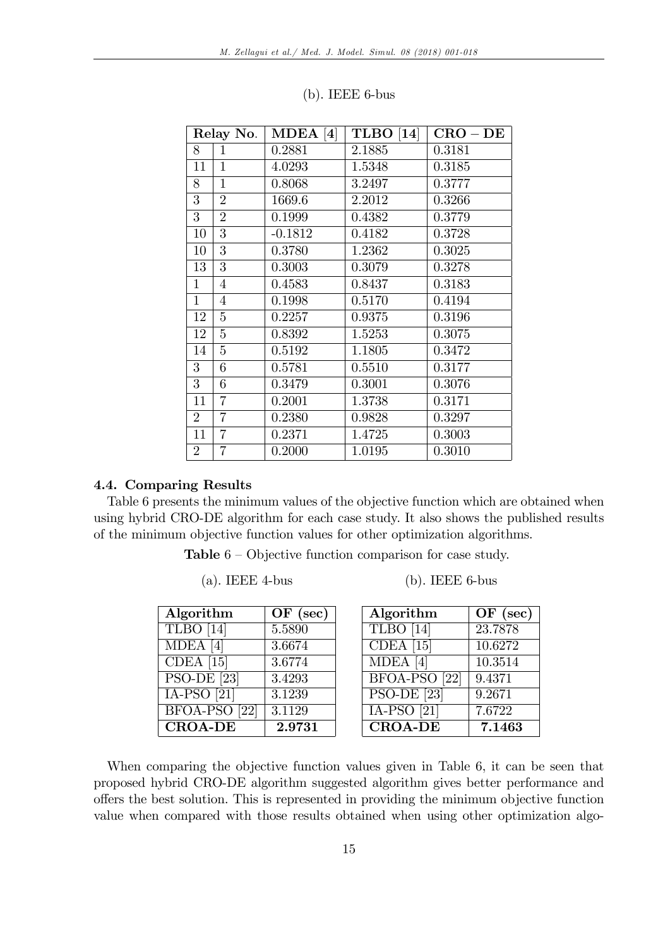| Relay No.      |                | $MDEA$ [4] | <b>TLBO</b> [14]<br>$CRO - DE$ |        |
|----------------|----------------|------------|--------------------------------|--------|
| 8              | 1              | 0.2881     | 2.1885                         | 0.3181 |
| 11             | $\mathbf{1}$   | 4.0293     | 1.5348                         | 0.3185 |
| 8              | $\overline{1}$ | 0.8068     | 3.2497                         | 0.3777 |
| 3              | $\overline{2}$ | 1669.6     | 2.2012                         | 0.3266 |
| $\overline{3}$ | $\overline{2}$ | 0.1999     | 0.4382                         | 0.3779 |
| 10             | 3              | $-0.1812$  | 0.4182                         | 0.3728 |
| 10             | 3              | 0.3780     | 1.2362                         | 0.3025 |
| 13             | 3              | 0.3003     | 0.3079                         | 0.3278 |
| $\mathbf{1}$   | $\overline{4}$ | 0.4583     | 0.8437                         | 0.3183 |
| $\mathbf{1}$   | $\overline{4}$ | 0.1998     | 0.5170                         | 0.4194 |
| 12             | 5              | 0.2257     | 0.9375                         | 0.3196 |
| 12             | $\overline{5}$ | 0.8392     | 1.5253                         | 0.3075 |
| 14             | $\overline{5}$ | 0.5192     | 1.1805                         | 0.3472 |
| 3              | 6              | 0.5781     | 0.5510                         | 0.3177 |
| $\overline{3}$ | 6              | 0.3479     | 0.3001                         | 0.3076 |
| 11             | $\overline{7}$ | 0.2001     | 1.3738                         | 0.3171 |
| $\overline{2}$ | $\overline{7}$ | 0.2380     | 0.9828                         | 0.3297 |
| 11             | $\overline{7}$ | 0.2371     | 1.4725                         | 0.3003 |
| $\overline{2}$ | $\overline{7}$ | 0.2000     | 1.0195                         | 0.3010 |

# (b). IEEE 6-bus

# 4.4. Comparing Results

Table 6 presents the minimum values of the objective function which are obtained when using hybrid CRO-DE algorithm for each case study. It also shows the published results of the minimum objective function values for other optimization algorithms.

**Table**  $6$  – Objective function comparison for case study.

(a). IEEE 4-bus (b). IEEE 6-bus

| Algorithm                     | $OF$ (sec) | Algorithm      | $OF$ (see |
|-------------------------------|------------|----------------|-----------|
| TLBO [14]                     | 5.5890     | TLBO [14]      | 23.7878   |
| $\overline{\text{MDE}}$ A [4] | 3.6674     | $CDEA$ [15]    | 10.6272   |
| $CDEA$ [15]                   | 3.6774     | $MDEA$ [4]     | 10.3514   |
| $PSO-DE$ [23]                 | 3.4293     | BFOA-PSO [22]  | 9.4371    |
| $IA-PSO[21]$                  | 3.1239     | $PSO-DE$ [23]  | 9.2671    |
| BFOA-PSO [22]                 | 3.1129     | $IA-PSO[21]$   | 7.6722    |
| <b>CROA-DE</b>                | 2.9731     | <b>CROA-DE</b> | 7.1463    |

| Algorithm                       | $OF$ (sec) | Algorithm                       | $OF$ (sec) |
|---------------------------------|------------|---------------------------------|------------|
| TLBO [14]                       | 5.5890     | TLBO [14]                       | 23.7878    |
| MDEA <sup>[4]</sup>             | 3.6674     | CDEA $[15]$                     | 10.6272    |
| CDEA $[15]$                     | 3.6774     | $MDEA$ [4]                      | 10.3514    |
| $\overline{\text{PSO-DE}}$ [23] | 3.4293     | BFOA-PSO [22]                   | 9.4371     |
| $\overline{\text{IA-PSO}}$ [21] | 3.1239     | $\overline{\text{PSO-DE}}$ [23] | 9.2671     |
| BFOA-PSO [22]                   | 3.1129     | $IA-PSO[21]$                    | 7.6722     |
| <b>CROA-DE</b>                  | 2.9731     | <b>CROA-DE</b>                  | 7.1463     |

When comparing the objective function values given in Table 6, it can be seen that proposed hybrid CRO-DE algorithm suggested algorithm gives better performance and offers the best solution. This is represented in providing the minimum objective function value when compared with those results obtained when using other optimization algo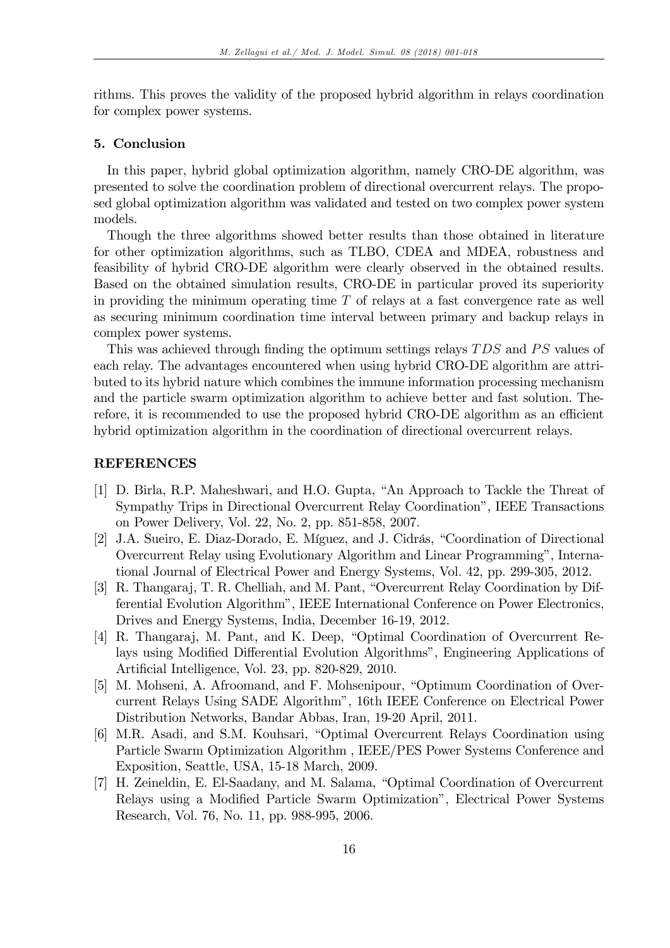rithms. This proves the validity of the proposed hybrid algorithm in relays coordination for complex power systems.

## 5. Conclusion

In this paper, hybrid global optimization algorithm, namely CRO-DE algorithm, was presented to solve the coordination problem of directional overcurrent relays. The proposed global optimization algorithm was validated and tested on two complex power system models.

Though the three algorithms showed better results than those obtained in literature for other optimization algorithms, such as TLBO, CDEA and MDEA, robustness and feasibility of hybrid CRO-DE algorithm were clearly observed in the obtained results. Based on the obtained simulation results, CRO-DE in particular proved its superiority in providing the minimum operating time  $T$  of relays at a fast convergence rate as well as securing minimum coordination time interval between primary and backup relays in complex power systems.

This was achieved through finding the optimum settings relays TDS and PS values of each relay. The advantages encountered when using hybrid CRO-DE algorithm are attributed to its hybrid nature which combines the immune information processing mechanism and the particle swarm optimization algorithm to achieve better and fast solution. Therefore, it is recommended to use the proposed hybrid CRO-DE algorithm as an efficient hybrid optimization algorithm in the coordination of directional overcurrent relays.

# REFERENCES

- [1] D. Birla, R.P. Maheshwari, and H.O. Gupta, "An Approach to Tackle the Threat of Sympathy Trips in Directional Overcurrent Relay Coordinationî, IEEE Transactions on Power Delivery, Vol. 22, No. 2, pp. 851-858, 2007.
- [2] J.A. Sueiro, E. Diaz-Dorado, E. Míguez, and J. Cidrás, "Coordination of Directional Overcurrent Relay using Evolutionary Algorithm and Linear Programmingî, International Journal of Electrical Power and Energy Systems, Vol. 42, pp. 299-305, 2012.
- [3] R. Thangaraj, T. R. Chelliah, and M. Pant, "Overcurrent Relay Coordination by Differential Evolution Algorithmî, IEEE International Conference on Power Electronics, Drives and Energy Systems, India, December 16-19, 2012.
- [4] R. Thangaraj, M. Pant, and K. Deep, "Optimal Coordination of Overcurrent Relays using Modified Differential Evolution Algorithms", Engineering Applications of Artificial Intelligence, Vol. 23, pp. 820-829, 2010.
- [5] M. Mohseni, A. Afroomand, and F. Mohsenipour, "Optimum Coordination of Overcurrent Relays Using SADE Algorithmî, 16th IEEE Conference on Electrical Power Distribution Networks, Bandar Abbas, Iran, 19-20 April, 2011.
- [6] M.R. Asadi, and S.M. Kouhsari, "Optimal Overcurrent Relays Coordination using Particle Swarm Optimization Algorithm , IEEE/PES Power Systems Conference and Exposition, Seattle, USA, 15-18 March, 2009.
- [7] H. Zeineldin, E. El-Saadany, and M. Salama, "Optimal Coordination of Overcurrent Relays using a Modified Particle Swarm Optimization", Electrical Power Systems Research, Vol. 76, No. 11, pp. 988-995, 2006.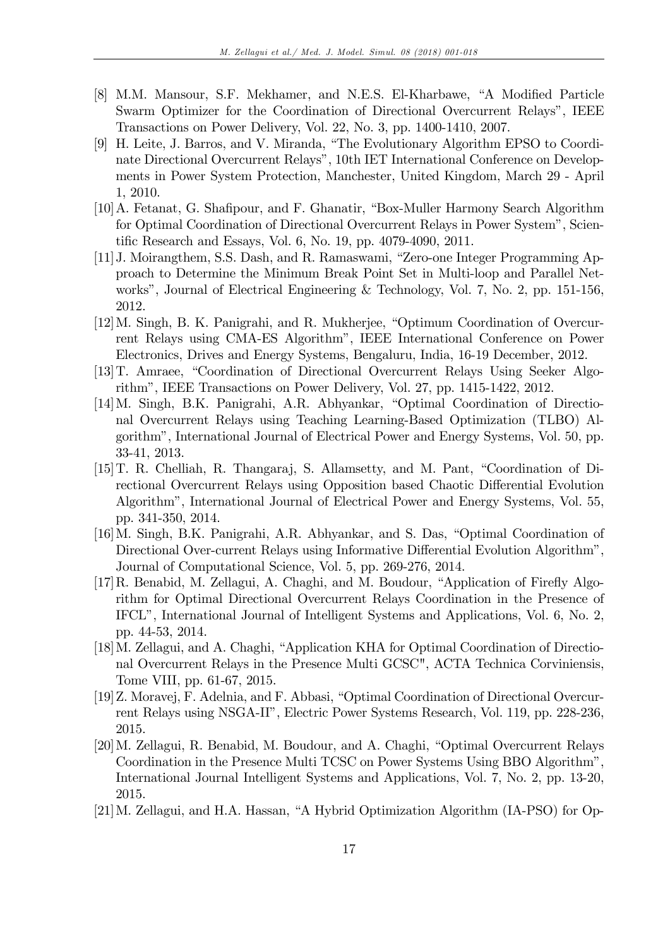- [8] M.M. Mansour, S.F. Mekhamer, and N.E.S. El-Kharbawe, "A Modified Particle Swarm Optimizer for the Coordination of Directional Overcurrent Relaysî, IEEE Transactions on Power Delivery, Vol. 22, No. 3, pp. 1400-1410, 2007.
- [9] H. Leite, J. Barros, and V. Miranda, "The Evolutionary Algorithm EPSO to Coordinate Directional Overcurrent Relays", 10th IET International Conference on Developments in Power System Protection, Manchester, United Kingdom, March 29 - April 1, 2010.
- [10] A. Fetanat, G. Shafipour, and F. Ghanatir, "Box-Muller Harmony Search Algorithm for Optimal Coordination of Directional Overcurrent Relays in Power Systemî, Scientific Research and Essays, Vol. 6, No. 19, pp. 4079-4090, 2011.
- [11] J. Moirangthem, S.S. Dash, and R. Ramaswami, "Zero-one Integer Programming Approach to Determine the Minimum Break Point Set in Multi-loop and Parallel Networks", Journal of Electrical Engineering & Technology, Vol. 7, No. 2, pp. 151-156, 2012.
- $[12]$ M. Singh, B. K. Panigrahi, and R. Mukherjee, "Optimum Coordination of Overcurrent Relays using CMA-ES Algorithmî, IEEE International Conference on Power Electronics, Drives and Energy Systems, Bengaluru, India, 16-19 December, 2012.
- [13] T. Amraee, "Coordination of Directional Overcurrent Relays Using Seeker Algorithmî, IEEE Transactions on Power Delivery, Vol. 27, pp. 1415-1422, 2012.
- [14] M. Singh, B.K. Panigrahi, A.R. Abhyankar, "Optimal Coordination of Directional Overcurrent Relays using Teaching Learning-Based Optimization (TLBO) Algorithmî, International Journal of Electrical Power and Energy Systems, Vol. 50, pp. 33-41, 2013.
- [15] T. R. Chelliah, R. Thangaraj, S. Allamsetty, and M. Pant, "Coordination of Directional Overcurrent Relays using Opposition based Chaotic Differential Evolution Algorithmî, International Journal of Electrical Power and Energy Systems, Vol. 55, pp. 341-350, 2014.
- [16] M. Singh, B.K. Panigrahi, A.R. Abhyankar, and S. Das, "Optimal Coordination of Directional Over-current Relays using Informative Differential Evolution Algorithm<sup>n</sup>, Journal of Computational Science, Vol. 5, pp. 269-276, 2014.
- $[17]$ R. Benabid, M. Zellagui, A. Chaghi, and M. Boudour, "Application of Firefly Algorithm for Optimal Directional Overcurrent Relays Coordination in the Presence of IFCLî, International Journal of Intelligent Systems and Applications, Vol. 6, No. 2, pp. 44-53, 2014.
- [18] M. Zellagui, and A. Chaghi, "Application KHA for Optimal Coordination of Directional Overcurrent Relays in the Presence Multi GCSC", ACTA Technica Corviniensis, Tome VIII, pp. 61-67, 2015.
- [19] Z. Moravej, F. Adelnia, and F. Abbasi, "Optimal Coordination of Directional Overcurrent Relays using NSGA-IIî, Electric Power Systems Research, Vol. 119, pp. 228-236, 2015.
- [20] M. Zellagui, R. Benabid, M. Boudour, and A. Chaghi, "Optimal Overcurrent Relays" Coordination in the Presence Multi TCSC on Power Systems Using BBO Algorithmî, International Journal Intelligent Systems and Applications, Vol. 7, No. 2, pp. 13-20, 2015.
- $[21]$ M. Zellagui, and H.A. Hassan, "A Hybrid Optimization Algorithm (IA-PSO) for Op-